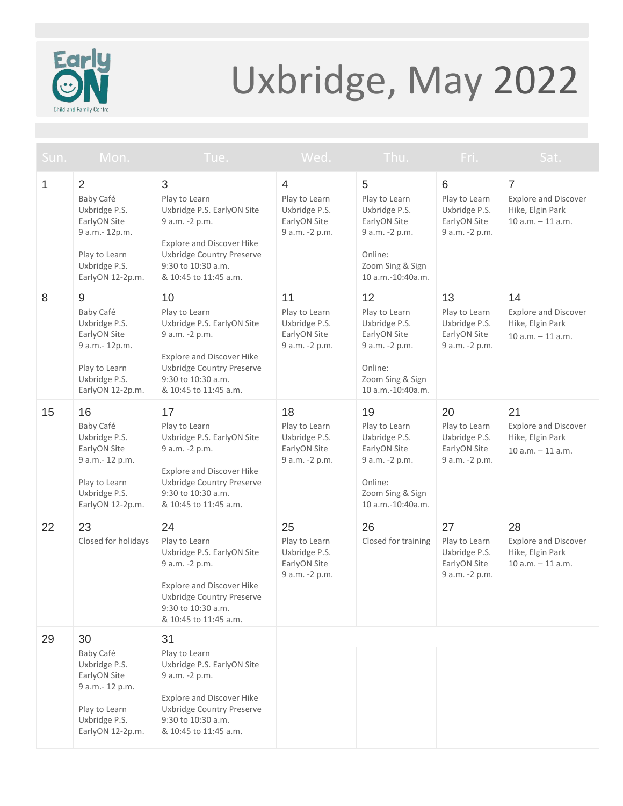

## Uxbridge, May 2022

| Sun. | Mon.                                                                                                                                 | Tue.                                                                                                                                                                                | Wed.                                                                   | Thu.                                                                                                                       | Fri.                                                                   | Sat.                                                                                     |
|------|--------------------------------------------------------------------------------------------------------------------------------------|-------------------------------------------------------------------------------------------------------------------------------------------------------------------------------------|------------------------------------------------------------------------|----------------------------------------------------------------------------------------------------------------------------|------------------------------------------------------------------------|------------------------------------------------------------------------------------------|
| 1    | $\overline{2}$<br>Baby Café<br>Uxbridge P.S.<br>EarlyON Site<br>9 a.m.- 12p.m.<br>Play to Learn<br>Uxbridge P.S.<br>EarlyON 12-2p.m. | 3<br>Play to Learn<br>Uxbridge P.S. EarlyON Site<br>9 a.m. -2 p.m.<br><b>Explore and Discover Hike</b><br>Uxbridge Country Preserve<br>9:30 to 10:30 a.m.<br>& 10:45 to 11:45 a.m.  | 4<br>Play to Learn<br>Uxbridge P.S.<br>EarlyON Site<br>9 a.m. -2 p.m.  | 5<br>Play to Learn<br>Uxbridge P.S.<br>EarlyON Site<br>9 a.m. -2 p.m.<br>Online:<br>Zoom Sing & Sign<br>10 a.m.-10:40a.m.  | 6<br>Play to Learn<br>Uxbridge P.S.<br>EarlyON Site<br>9 a.m. -2 p.m.  | $\overline{7}$<br><b>Explore and Discover</b><br>Hike, Elgin Park<br>$10 a.m. - 11 a.m.$ |
| 8    | 9<br>Baby Café<br>Uxbridge P.S.<br>EarlyON Site<br>9 a.m.- 12p.m.<br>Play to Learn<br>Uxbridge P.S.<br>EarlyON 12-2p.m.              | 10<br>Play to Learn<br>Uxbridge P.S. EarlyON Site<br>9 a.m. -2 p.m.<br>Explore and Discover Hike<br>Uxbridge Country Preserve<br>9:30 to 10:30 a.m.<br>& 10:45 to 11:45 a.m.        | 11<br>Play to Learn<br>Uxbridge P.S.<br>EarlyON Site<br>9 a.m. -2 p.m. | 12<br>Play to Learn<br>Uxbridge P.S.<br>EarlyON Site<br>9 a.m. -2 p.m.<br>Online:<br>Zoom Sing & Sign<br>10 a.m.-10:40a.m. | 13<br>Play to Learn<br>Uxbridge P.S.<br>EarlyON Site<br>9 a.m. -2 p.m. | 14<br><b>Explore and Discover</b><br>Hike, Elgin Park<br>$10 a.m. - 11 a.m.$             |
| 15   | 16<br>Baby Café<br>Uxbridge P.S.<br>EarlyON Site<br>9 a.m.- 12 p.m.<br>Play to Learn<br>Uxbridge P.S.<br>EarlyON 12-2p.m.            | 17<br>Play to Learn<br>Uxbridge P.S. EarlyON Site<br>9 a.m. -2 p.m.<br><b>Explore and Discover Hike</b><br>Uxbridge Country Preserve<br>9:30 to 10:30 a.m.<br>& 10:45 to 11:45 a.m. | 18<br>Play to Learn<br>Uxbridge P.S.<br>EarlyON Site<br>9 a.m. -2 p.m. | 19<br>Play to Learn<br>Uxbridge P.S.<br>EarlyON Site<br>9 a.m. -2 p.m.<br>Online:<br>Zoom Sing & Sign<br>10 a.m.-10:40a.m. | 20<br>Play to Learn<br>Uxbridge P.S.<br>EarlyON Site<br>9 a.m. -2 p.m. | 21<br><b>Explore and Discover</b><br>Hike, Elgin Park<br>$10 a.m. - 11 a.m.$             |
| 22   | 23<br>Closed for holidays                                                                                                            | 24<br>Play to Learn<br>Uxbridge P.S. EarlyON Site<br>9 a.m. -2 p.m.<br><b>Explore and Discover Hike</b><br>Uxbridge Country Preserve<br>9:30 to 10:30 a.m.<br>& 10:45 to 11:45 a.m. | 25<br>Play to Learn<br>Uxbridge P.S.<br>EarlyON Site<br>9 a.m. -2 p.m. | 26<br>Closed for training                                                                                                  | 27<br>Play to Learn<br>Uxbridge P.S.<br>EarlyON Site<br>9 a.m. -2 p.m. | 28<br><b>Explore and Discover</b><br>Hike, Elgin Park<br>$10 a.m. - 11 a.m.$             |
| 29   | 30<br>Baby Café<br>Uxbridge P.S.<br>EarlyON Site<br>9 a.m.- 12 p.m.<br>Play to Learn<br>Uxbridge P.S.<br>EarlyON 12-2p.m.            | 31<br>Play to Learn<br>Uxbridge P.S. EarlyON Site<br>9 a.m. -2 p.m.<br><b>Explore and Discover Hike</b><br>Uxbridge Country Preserve<br>9:30 to 10:30 a.m.<br>& 10:45 to 11:45 a.m. |                                                                        |                                                                                                                            |                                                                        |                                                                                          |